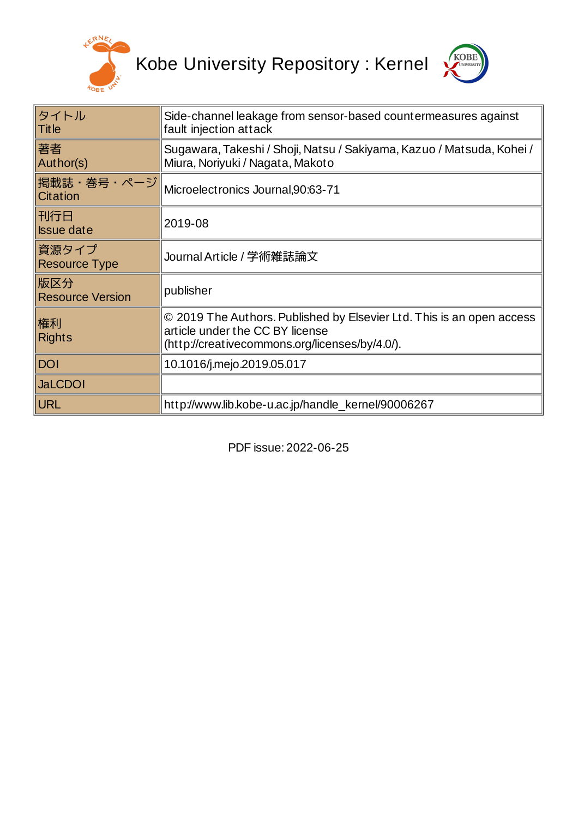



| タイトル<br><b>Title</b>           | Side-channel leakage from sensor-based countermeasures against<br>fault injection attack                                                                   |
|--------------------------------|------------------------------------------------------------------------------------------------------------------------------------------------------------|
| 著者<br>Author(s)                | Sugawara, Takeshi / Shoji, Natsu / Sakiyama, Kazuo / Matsuda, Kohei /<br>Miura, Noriyuki / Nagata, Makoto                                                  |
| 掲載誌・巻号・ページ<br>Citation         | Microelectronics Journal, 90:63-71                                                                                                                         |
| 刊行日<br><b>Issue date</b>       | 2019-08                                                                                                                                                    |
| 資源タイプ<br><b>Resource Type</b>  | Journal Article / 学術雑誌論文                                                                                                                                   |
| 版区分<br><b>Resource Version</b> | publisher                                                                                                                                                  |
| 権利<br><b>Rights</b>            | © 2019 The Authors. Published by Elsevier Ltd. This is an open access<br>article under the CC BY license<br>(http://creativecommons.org/licenses/by/4.0/). |
| <b>DOI</b>                     | 10.1016/j.mejo.2019.05.017                                                                                                                                 |
| <b>JaLCDOI</b>                 |                                                                                                                                                            |
| URL                            | http://www.lib.kobe-u.ac.jp/handle kernel/90006267                                                                                                         |

PDF issue: 2022-06-25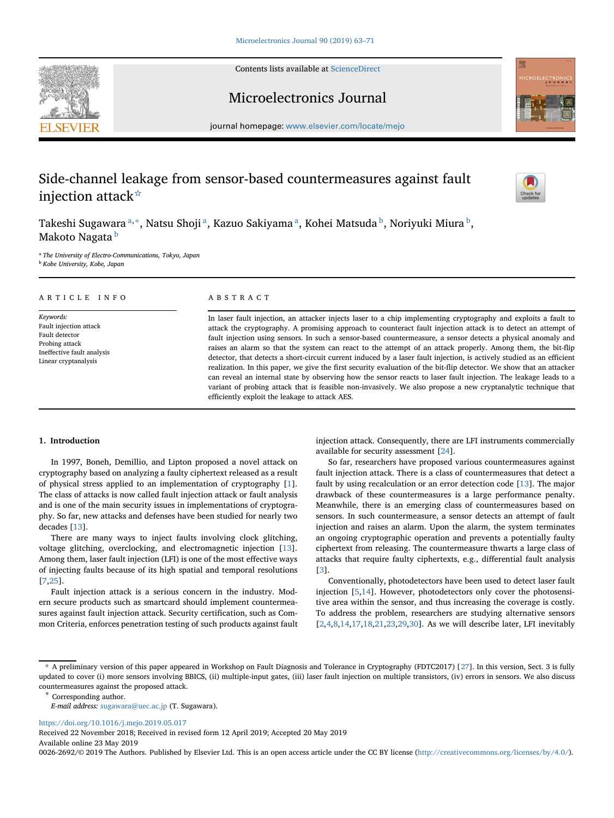Contents lists available at [ScienceDirect](http://www.sciencedirect.com/science/journal/)



# Microelectronics Journal



journal homepage: [www.elsevier.com/locate/mejo](http://www.elsevier.com/locate/mejo)

# Side-channel leakage from sensor-based countermeasures against fault injection attack[☆](#page-1-0)



Takeshi Sugawara <sup>[a,](#page-1-1)[∗](#page-1-2)</sup>, Natsu Shoji <sup>a</sup>, Kazuo Sakiyama <sup>a</sup>, Kohei Matsuda <sup>b</sup>, Noriyuki Miura <sup>b</sup>, Makoto Nagata [b](#page-1-3)

<span id="page-1-3"></span><span id="page-1-1"></span><sup>a</sup> *The University of Electro-Communications, Tokyo, Japan* <sup>b</sup> *Kobe University, Kobe, Japan*

# ARTICLE INFO

*Keywords:* Fault injection attack Fault detector Probing attack Ineffective fault analysis Linear cryptanalysis

# ABSTRACT

In laser fault injection, an attacker injects laser to a chip implementing cryptography and exploits a fault to attack the cryptography. A promising approach to counteract fault injection attack is to detect an attempt of fault injection using sensors. In such a sensor-based countermeasure, a sensor detects a physical anomaly and raises an alarm so that the system can react to the attempt of an attack properly. Among them, the bit-flip detector, that detects a short-circuit current induced by a laser fault injection, is actively studied as an efficient realization. In this paper, we give the first security evaluation of the bit-flip detector. We show that an attacker can reveal an internal state by observing how the sensor reacts to laser fault injection. The leakage leads to a variant of probing attack that is feasible non-invasively. We also propose a new cryptanalytic technique that efficiently exploit the leakage to attack AES.

# **1. Introduction**

In 1997, Boneh, Demillio, and Lipton proposed a novel attack on cryptography based on analyzing a faulty ciphertext released as a result of physical stress applied to an implementation of cryptography [\[1\]](#page-8-0). The class of attacks is now called fault injection attack or fault analysis and is one of the main security issues in implementations of cryptography. So far, new attacks and defenses have been studied for nearly two decades [\[13\]](#page-9-0).

There are many ways to inject faults involving clock glitching, voltage glitching, overclocking, and electromagnetic injection [\[13\]](#page-9-0). Among them, laser fault injection (LFI) is one of the most effective ways of injecting faults because of its high spatial and temporal resolutions [\[7,](#page-8-1)[25\]](#page-9-1).

Fault injection attack is a serious concern in the industry. Modern secure products such as smartcard should implement countermeasures against fault injection attack. Security certification, such as Common Criteria, enforces penetration testing of such products against fault injection attack. Consequently, there are LFI instruments commercially available for security assessment [\[24\]](#page-9-3).

So far, researchers have proposed various countermeasures against fault injection attack. There is a class of countermeasures that detect a fault by using recalculation or an error detection code [\[13\]](#page-9-0). The major drawback of these countermeasures is a large performance penalty. Meanwhile, there is an emerging class of countermeasures based on sensors. In such countermeasure, a sensor detects an attempt of fault injection and raises an alarm. Upon the alarm, the system terminates an ongoing cryptographic operation and prevents a potentially faulty ciphertext from releasing. The countermeasure thwarts a large class of attacks that require faulty ciphertexts, e.g., differential fault analysis [\[3\]](#page-8-2).

Conventionally, photodetectors have been used to detect laser fault injection [\[5,](#page-8-3)[14\]](#page-9-4). However, photodetectors only cover the photosensitive area within the sensor, and thus increasing the coverage is costly. To address the problem, researchers are studying alternative sensors [\[2](#page-8-4)[,4](#page-8-5)[,8,](#page-8-6)[14](#page-9-4)[,17](#page-9-5)[,18,](#page-9-6)[21,](#page-9-7)[23,](#page-9-8)[29,](#page-9-9)[30\]](#page-9-10). As we will describe later, LFI inevitably

<https://doi.org/10.1016/j.mejo.2019.05.017>

Received 22 November 2018; Received in revised form 12 April 2019; Accepted 20 May 2019 Available online 23 May 2019

0026-2692/© 2019 The Authors. Published by Elsevier Ltd. This is an open access article under the CC BY license [\(http://creativecommons.org/licenses/by/4.0/\)](http://creativecommons.org/licenses/by/4.0/).

<span id="page-1-0"></span><sup>☆</sup> A preliminary version of this paper appeared in Workshop on Fault Diagnosis and Tolerance in Cryptography (FDTC2017) [\[27\]](#page-9-2). In this version, Sect. 3 is fully updated to cover (i) more sensors involving BBICS, (ii) multiple-input gates, (iii) laser fault injection on multiple transistors, (iv) errors in sensors. We also discuss countermeasures against the proposed attack. <sup>∗</sup> Corresponding author.

<span id="page-1-2"></span>*E-mail address:* [sugawara@uec.ac.jp](mailto:sugawara@uec.ac.jp) (T. Sugawara).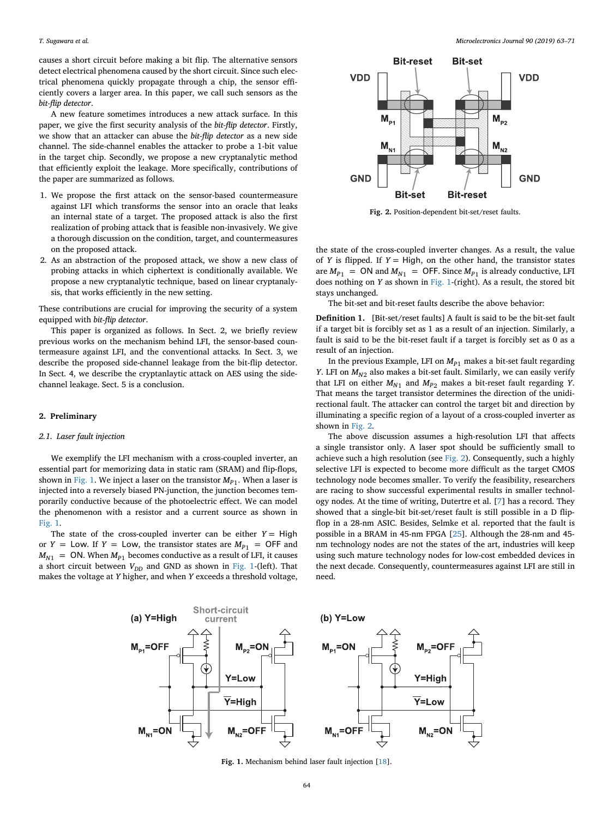causes a short circuit before making a bit flip. The alternative sensors detect electrical phenomena caused by the short circuit. Since such electrical phenomena quickly propagate through a chip, the sensor efficiently covers a larger area. In this paper, we call such sensors as the *bit-flip detector*.

A new feature sometimes introduces a new attack surface. In this paper, we give the first security analysis of the *bit-flip detector*. Firstly, we show that an attacker can abuse the *bit-flip detector* as a new side channel. The side-channel enables the attacker to probe a 1-bit value in the target chip. Secondly, we propose a new cryptanalytic method that efficiently exploit the leakage. More specifically, contributions of the paper are summarized as follows.

- 1. We propose the first attack on the sensor-based countermeasure against LFI which transforms the sensor into an oracle that leaks an internal state of a target. The proposed attack is also the first realization of probing attack that is feasible non-invasively. We give a thorough discussion on the condition, target, and countermeasures on the proposed attack.
- 2. As an abstraction of the proposed attack, we show a new class of probing attacks in which ciphertext is conditionally available. We propose a new cryptanalytic technique, based on linear cryptanalysis, that works efficiently in the new setting.

These contributions are crucial for improving the security of a system equipped with *bit-flip detector*.

This paper is organized as follows. In Sect. 2, we briefly review previous works on the mechanism behind LFI, the sensor-based countermeasure against LFI, and the conventional attacks. In Sect. 3, we describe the proposed side-channel leakage from the bit-flip detector. In Sect. 4, we describe the cryptanlaytic attack on AES using the sidechannel leakage. Sect. 5 is a conclusion.

#### **2. Preliminary**

# *2.1. Laser fault injection*

We exemplify the LFI mechanism with a cross-coupled inverter, an essential part for memorizing data in static ram (SRAM) and flip-flops, shown in [Fig. 1.](#page-2-0) We inject a laser on the transistor  $M_{P1}$ . When a laser is injected into a reversely biased PN-junction, the junction becomes temporarily conductive because of the photoelectric effect. We can model the phenomenon with a resistor and a current source as shown in [Fig. 1.](#page-2-0)

The state of the cross-coupled inverter can be either  $Y = High$ or *Y* = Low. If *Y* = Low, the transistor states are  $M_{P1}$  = OFF and  $M_{N1}$  = ON. When  $M_{P1}$  becomes conductive as a result of LFI, it causes a short circuit between  $V_{DD}$  and GND as shown in [Fig. 1-](#page-2-0)(left). That makes the voltage at *Y* higher, and when *Y* exceeds a threshold voltage,



<span id="page-2-1"></span>**Fig. 2.** Position-dependent bit-set/reset faults.

the state of the cross-coupled inverter changes. As a result, the value of *Y* is flipped. If  $Y = High$ , on the other hand, the transistor states are  $M_{P1}$  = ON and  $M_{N1}$  = OFF. Since  $M_{P1}$  is already conductive, LFI does nothing on *Y* as shown in [Fig. 1-](#page-2-0)(right). As a result, the stored bit stays unchanged.

The bit-set and bit-reset faults describe the above behavior:

**Definition 1.** [Bit-set/reset faults] A fault is said to be the bit-set fault if a target bit is forcibly set as 1 as a result of an injection. Similarly, a fault is said to be the bit-reset fault if a target is forcibly set as 0 as a result of an injection.

In the previous Example, LFI on  $M_{p_1}$  makes a bit-set fault regarding *Y*. LFI on  $M_{N2}$  also makes a bit-set fault. Similarly, we can easily verify that LFI on either  $M_{N1}$  and  $M_{P2}$  makes a bit-reset fault regarding *Y*. That means the target transistor determines the direction of the unidirectional fault. The attacker can control the target bit and direction by illuminating a specific region of a layout of a cross-coupled inverter as shown in [Fig. 2.](#page-2-1)

The above discussion assumes a high-resolution LFI that affects a single transistor only. A laser spot should be sufficiently small to achieve such a high resolution (see [Fig. 2\)](#page-2-1). Consequently, such a highly selective LFI is expected to become more difficult as the target CMOS technology node becomes smaller. To verify the feasibility, researchers are racing to show successful experimental results in smaller technology nodes. At the time of writing, Dutertre et al. [\[7\]](#page-8-1) has a record. They showed that a single-bit bit-set/reset fault is still possible in a D flipflop in a 28-nm ASIC. Besides, Selmke et al. reported that the fault is possible in a BRAM in 45-nm FPGA [\[25\]](#page-9-1). Although the 28-nm and 45 nm technology nodes are not the states of the art, industries will keep using such mature technology nodes for low-cost embedded devices in the next decade. Consequently, countermeasures against LFI are still in need.



<span id="page-2-0"></span>**Fig. 1.** Mechanism behind laser fault injection [\[18\]](#page-9-6).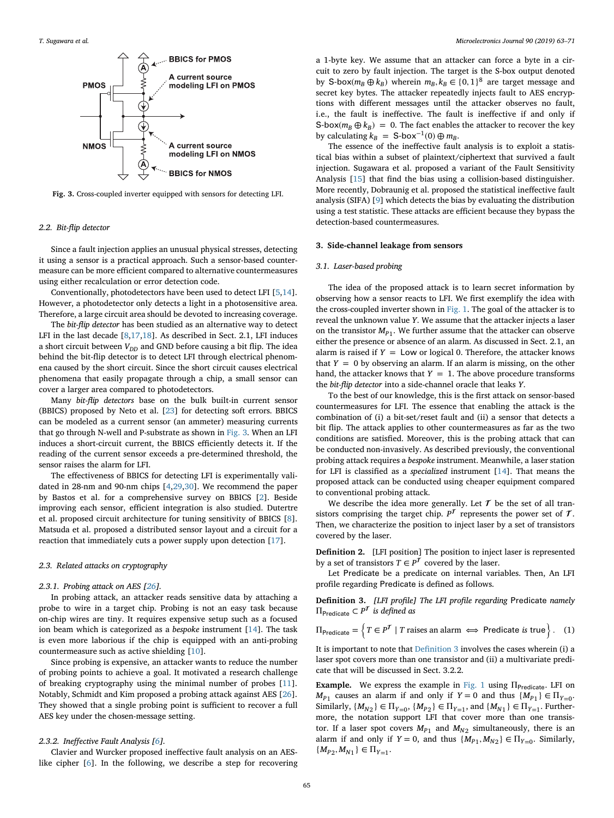

**Fig. 3.** Cross-coupled inverter equipped with sensors for detecting LFI.

# *2.2. Bit-flip detector*

Since a fault injection applies an unusual physical stresses, detecting it using a sensor is a practical approach. Such a sensor-based countermeasure can be more efficient compared to alternative countermeasures using either recalculation or error detection code.

Conventionally, photodetectors have been used to detect LFI [\[5,](#page-8-3)[14\]](#page-9-4). However, a photodetector only detects a light in a photosensitive area. Therefore, a large circuit area should be devoted to increasing coverage.

The *bit-flip detector* has been studied as an alternative way to detect LFI in the last decade [\[8,](#page-8-6)[17](#page-9-5)[,18\]](#page-9-6). As described in Sect. 2.1, LFI induces a short circuit between  $V_{DD}$  and GND before causing a bit flip. The idea behind the bit-flip detector is to detect LFI through electrical phenomena caused by the short circuit. Since the short circuit causes electrical phenomena that easily propagate through a chip, a small sensor can cover a larger area compared to photodetectors.

Many *bit-flip detectors* base on the bulk built-in current sensor (BBICS) proposed by Neto et al. [\[23\]](#page-9-8) for detecting soft errors. BBICS can be modeled as a current sensor (an ammeter) measuring currents that go through N-well and P-substrate as shown in [Fig. 3.](#page-3-0) When an LFI induces a short-circuit current, the BBICS efficiently detects it. If the reading of the current sensor exceeds a pre-determined threshold, the sensor raises the alarm for LFI.

The effectiveness of BBICS for detecting LFI is experimentally validated in 28-nm and 90-nm chips [\[4,](#page-8-5)[29,](#page-9-9)[30\]](#page-9-10). We recommend the paper by Bastos et al. for a comprehensive survey on BBICS [\[2\]](#page-8-4). Beside improving each sensor, efficient integration is also studied. Dutertre et al. proposed circuit architecture for tuning sensitivity of BBICS [\[8\]](#page-8-6). Matsuda et al. proposed a distributed sensor layout and a circuit for a reaction that immediately cuts a power supply upon detection [\[17\]](#page-9-5).

#### *2.3. Related attacks on cryptography*

### *2.3.1. Probing attack on AES [\[26\]](#page-9-11).*

In probing attack, an attacker reads sensitive data by attaching a probe to wire in a target chip. Probing is not an easy task because on-chip wires are tiny. It requires expensive setup such as a focused ion beam which is categorized as a *bespoke* instrument [\[14\]](#page-9-4). The task is even more laborious if the chip is equipped with an anti-probing countermeasure such as active shielding [\[10\]](#page-8-7).

Since probing is expensive, an attacker wants to reduce the number of probing points to achieve a goal. It motivated a research challenge of breaking cryptography using the minimal number of probes [\[11\]](#page-8-8). Notably, Schmidt and Kim proposed a probing attack against AES [\[26\]](#page-9-11). They showed that a single probing point is sufficient to recover a full AES key under the chosen-message setting.

# *2.3.2. Ineffective Fault Analysis [\[6\]](#page-8-9).*

Clavier and Wurcker proposed ineffective fault analysis on an AESlike cipher [\[6\]](#page-8-9). In the following, we describe a step for recovering a 1-byte key. We assume that an attacker can force a byte in a circuit to zero by fault injection. The target is the S-box output denoted by S-box( $m_B \oplus k_B$ ) wherein  $m_B, k_B \in \{0, 1\}^8$  are target message and secret key bytes. The attacker repeatedly injects fault to AES encryptions with different messages until the attacker observes no fault, i.e., the fault is ineffective. The fault is ineffective if and only if S-box( $m_B \oplus k_B$ ) = 0. The fact enables the attacker to recover the key by calculating  $k_B = S$ -box<sup>-1</sup>(0)  $\oplus m_B$ .

<span id="page-3-0"></span>The essence of the ineffective fault analysis is to exploit a statistical bias within a subset of plaintext/ciphertext that survived a fault injection. Sugawara et al. proposed a variant of the Fault Sensitivity Analysis [\[15\]](#page-9-12) that find the bias using a collision-based distinguisher. More recently, Dobraunig et al. proposed the statistical ineffective fault analysis (SIFA) [\[9\]](#page-8-10) which detects the bias by evaluating the distribution using a test statistic. These attacks are efficient because they bypass the detection-based countermeasures.

# **3. Side-channel leakage from sensors**

#### *3.1. Laser-based probing*

The idea of the proposed attack is to learn secret information by observing how a sensor reacts to LFI. We first exemplify the idea with the cross-coupled inverter shown in [Fig. 1.](#page-2-0) The goal of the attacker is to reveal the unknown value *Y*. We assume that the attacker injects a laser on the transistor  $M_{p_1}$ . We further assume that the attacker can observe either the presence or absence of an alarm. As discussed in Sect. 2.1, an alarm is raised if  $Y = Low$  or logical 0. Therefore, the attacker knows that  $Y = 0$  by observing an alarm. If an alarm is missing, on the other hand, the attacker knows that  $Y = 1$ . The above procedure transforms the *bit-flip detector* into a side-channel oracle that leaks *Y*.

To the best of our knowledge, this is the first attack on sensor-based countermeasures for LFI. The essence that enabling the attack is the combination of (i) a bit-set/reset fault and (ii) a sensor that detects a bit flip. The attack applies to other countermeasures as far as the two conditions are satisfied. Moreover, this is the probing attack that can be conducted non-invasively. As described previously, the conventional probing attack requires a *bespoke* instrument. Meanwhile, a laser station for LFI is classified as a *specialized* instrument [\[14\]](#page-9-4). That means the proposed attack can be conducted using cheaper equipment compared to conventional probing attack.

We describe the idea more generally. Let  $\mathcal T$  be the set of all transistors comprising the target chip.  $P^{\mathcal{T}}$  represents the power set of  $\mathcal{T}$ . Then, we characterize the position to inject laser by a set of transistors covered by the laser.

**Definition 2.** [LFI position] The position to inject laser is represented by a set of transistors  $T \in P^T$  covered by the laser.

Let Predicate be a predicate on internal variables. Then, An LFI profile regarding Predicate is defined as follows.

<span id="page-3-1"></span>**Definition 3.** *[LFI profile] The LFI profile regarding* Predicate *namely*  $\Pi_{\text{Predicte}} \subset P^{\mathcal{T}}$  *is defined as*  $\overline{\phantom{a}}$ 

$$
\Pi_{\text{Predictive}} = \left\{ T \in P^T \mid T \text{ raises an alarm} \iff \text{Predictive is true} \right\}. \quad (1)
$$

It is important to note that [Definition 3](#page-3-1) involves the cases wherein (i) a laser spot covers more than one transistor and (ii) a multivariate predicate that will be discussed in Sect. 3.2.2.

**Example.** We express the example in [Fig. 1](#page-2-0) using  $\Pi_{\text{Predict}}$ . LFI on  $M_{P1}$  causes an alarm if and only if  $Y = 0$  and thus  $\{M_{P1}\}\in \Pi_{Y=0}$ . Similarly,  $\{M_{N2}\}\in\Pi_{Y=0}$ ,  $\{M_{P2}\}\in\Pi_{Y=1}$ , and  $\{M_{N1}\}\in\Pi_{Y=1}$ . Furthermore, the notation support LFI that cover more than one transistor. If a laser spot covers  $M_{P1}$  and  $M_{N2}$  simultaneously, there is an alarm if and only if  $Y = 0$ , and thus  $\{M_{p_1}, M_{N_2}\} \in \Pi_{Y=0}$ . Similarly,  ${M_{P2}, M_{N1}} \in \Pi_{Y=1}.$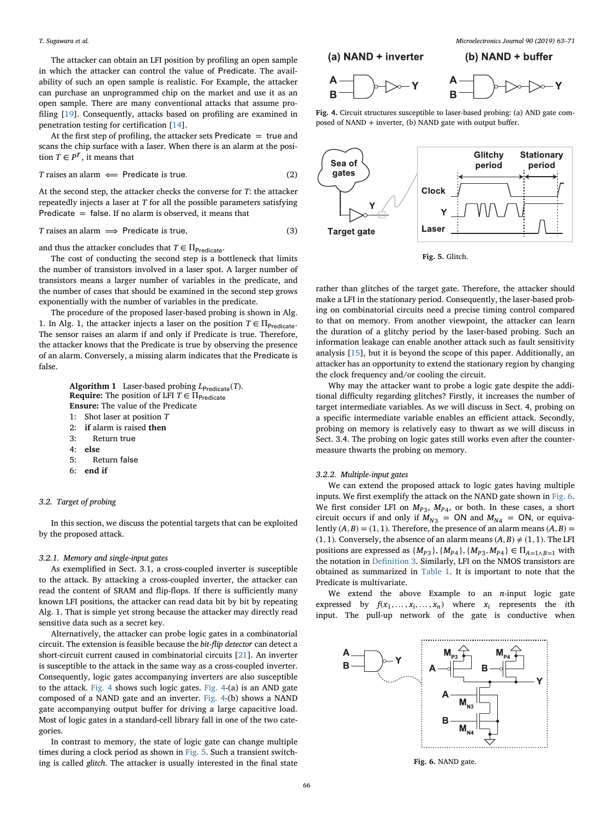The attacker can obtain an LFI position by profiling an open sample in which the attacker can control the value of Predicate. The availability of such an open sample is realistic. For Example, the attacker can purchase an unprogrammed chip on the market and use it as an open sample. There are many conventional attacks that assume profiling [\[19\]](#page-9-13). Consequently, attacks based on profiling are examined in penetration testing for certification [\[14\]](#page-9-4).

At the first step of profiling, the attacker sets Predicate  $=$  true and scans the chip surface with a laser. When there is an alarm at the position  $T \in P^{\mathcal{T}}$ , it means that

$$
T \text{ raises an alarm} \leftarrow \text{Predictive} \text{ is true.} \tag{2}
$$

At the second step, the attacker checks the converse for *T*: the attacker repeatedly injects a laser at *T* for all the possible parameters satisfying Predicate  $=$  false. If no alarm is observed, it means that

$$
T \text{ raises an alarm} \implies \text{Predictive is true}, \tag{3}
$$

and thus the attacker concludes that  $T \in \Pi_{\text{Predictive}}$ .

The cost of conducting the second step is a bottleneck that limits the number of transistors involved in a laser spot. A larger number of transistors means a larger number of variables in the predicate, and the number of cases that should be examined in the second step grows exponentially with the number of variables in the predicate.

The procedure of the proposed laser-based probing is shown in Alg. 1. In Alg. 1, the attacker injects a laser on the position  $T \in \Pi_{\text{Predicter}}$ . The sensor raises an alarm if and only if Predicate is true. Therefore, the attacker knows that the Predicate is true by observing the presence of an alarm. Conversely, a missing alarm indicates that the Predicate is false.

> **Algorithm 1** Laser-based probing  $L_{Predict}(T)$ . **Require:** The position of LFI  $T \in \Pi_{\text{Predicted}}$ **Ensure:** The value of the Predicate 1: Shot laser at position *T* 2: **if** alarm is raised **then**

- 3: Return true
- 4: **else**
- 5: Return false
- 6: **end if**

### *3.2. Target of probing*

In this section, we discuss the potential targets that can be exploited by the proposed attack.

#### *3.2.1. Memory and single-input gates*

As exemplified in Sect. 3.1, a cross-coupled inverter is susceptible to the attack. By attacking a cross-coupled inverter, the attacker can read the content of SRAM and flip-flops. If there is sufficiently many known LFI positions, the attacker can read data bit by bit by repeating Alg. 1. That is simple yet strong because the attacker may directly read sensitive data such as a secret key.

Alternatively, the attacker can probe logic gates in a combinatorial circuit. The extension is feasible because the *bit-flip detector* can detect a short-circuit current caused in combinatorial circuits [\[21\]](#page-9-7). An inverter is susceptible to the attack in the same way as a cross-coupled inverter. Consequently, logic gates accompanying inverters are also susceptible to the attack. [Fig. 4](#page-4-0) shows such logic gates. [Fig. 4-](#page-4-0)(a) is an AND gate composed of a NAND gate and an inverter. [Fig. 4-](#page-4-0)(b) shows a NAND gate accompanying output buffer for driving a large capacitive load. Most of logic gates in a standard-cell library fall in one of the two categories.

In contrast to memory, the state of logic gate can change multiple times during a clock period as shown in [Fig. 5.](#page-4-1) Such a transient switching is called *glitch*. The attacker is usually interested in the final state





**Fig. 4.** Circuit structures susceptible to laser-based probing: (a) AND gate composed of NAND + inverter, (b) NAND gate with output buffer.



<span id="page-4-1"></span><span id="page-4-0"></span>**Fig. 5.** Glitch.

rather than glitches of the target gate. Therefore, the attacker should make a LFI in the stationary period. Consequently, the laser-based probing on combinatorial circuits need a precise timing control compared to that on memory. From another viewpoint, the attacker can learn the duration of a glitchy period by the laser-based probing. Such an information leakage can enable another attack such as fault sensitivity analysis [\[15\]](#page-9-12), but it is beyond the scope of this paper. Additionally, an attacker has an opportunity to extend the stationary region by changing the clock frequency and/or cooling the circuit.

Why may the attacker want to probe a logic gate despite the additional difficulty regarding glitches? Firstly, it increases the number of target intermediate variables. As we will discuss in Sect. 4, probing on a specific intermediate variable enables an efficient attack. Secondly, probing on memory is relatively easy to thwart as we will discuss in Sect. 3.4. The probing on logic gates still works even after the countermeasure thwarts the probing on memory.

# *3.2.2. Multiple-input gates*

We can extend the proposed attack to logic gates having multiple inputs. We first exemplify the attack on the NAND gate shown in [Fig. 6.](#page-4-2) We first consider LFI on  $M_{P3}$ ,  $M_{P4}$ , or both. In these cases, a short circuit occurs if and only if  $M_{N3}$  = ON and  $M_{N4}$  = ON, or equivalently  $(A, B) = (1, 1)$ . Therefore, the presence of an alarm means  $(A, B) =$ (1, 1). Conversely, the absence of an alarm means  $(A, B) \neq (1, 1)$ . The LFI positions are expressed as  $\{M_{P3}\}, \{M_{P4}\}, \{M_{P3}, M_{P4}\}\in \Pi_{A=1\wedge B=1}$  with the notation in [Definition 3.](#page-3-1) Similarly, LFI on the NMOS transistors are obtained as summarized in [Table 1.](#page-5-0) It is important to note that the Predicate is multivariate.

We extend the above Example to an *n*-input logic gate expressed by  $f(x_1, \ldots, x_i, \ldots, x_n)$  where  $x_i$  represents the *i*th input. The pull-up network of the gate is conductive when



<span id="page-4-2"></span>**Fig. 6.** NAND gate.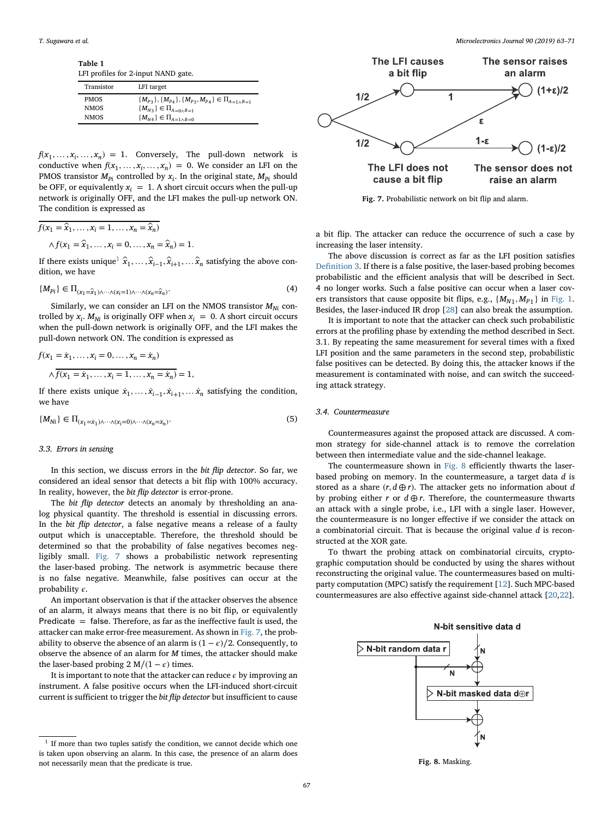**Table 1** LFI profiles for 2-input NAND gate.

<span id="page-5-0"></span>

| Transistor  | LFI target                                                            |
|-------------|-----------------------------------------------------------------------|
| <b>PMOS</b> | ${M_{p_3}}, {M_{p_4}}, {M_{p_3}}, {M_{p_4}} \in \Pi_{A=1 \wedge B=1}$ |
| <b>NMOS</b> | ${M_{N3}} \in \Pi_{A=0 \wedge B=1}$                                   |
| <b>NMOS</b> | ${M_{N4}} \in \Pi_{A=1 \wedge B=0}$                                   |

 $f(x_1, \ldots, x_i, \ldots, x_n) = 1$ . Conversely, The pull-down network is conductive when  $f(x_1, \ldots, x_i, \ldots, x_n) = 0$ . We consider an LFI on the PMOS transistor  $M_{p_i}$  controlled by  $x_i$ . In the original state,  $M_{p_i}$  should be OFF, or equivalently  $x_i = 1$ . A short circuit occurs when the pull-up network is originally OFF, and the LFI makes the pull-up network ON. The condition is expressed as

$$
\overline{f(x_1 = \hat{x}_1, \dots, x_i = 1, \dots, x_n = \hat{x}_n)}
$$

$$
\wedge f(x_1 = \hat{x}_1, \dots, x_i = 0, \dots, x_n = \hat{x}_n) = 1.
$$

If there exists unique<sup>[1](#page-5-1)</sup>  $\hat{x}_1, \ldots, \hat{x}_{i-1}, \hat{x}_{i+1}, \ldots, \hat{x}_n$  satisfying the above condition, we have

$$
\{M_{Pi}\}\in\Pi_{(x_1=\widehat{x}_1)\wedge\cdots\wedge(x_i=1)\wedge\cdots\wedge(x_n=\widehat{x}_n)}.\tag{4}
$$

Similarly, we can consider an LFI on the NMOS transistor  $M_{Ni}$  controlled by  $x_i$ .  $M_{Ni}$  is originally OFF when  $x_i = 0$ . A short circuit occurs when the pull-down network is originally OFF, and the LFI makes the pull-down network ON. The condition is expressed as

$$
f(x_1 = \dot{x}_1, ..., x_i = 0, ..., x_n = \dot{x}_n)
$$
  

$$
\land \overline{f(x_1 = \dot{x}_1, ..., x_i = 1, ..., x_n = \dot{x}_n)} = 1,
$$

If there exists unique  $\dot{x}_1, \ldots, \dot{x}_{i-1}, \dot{x}_{i+1}, \ldots, \dot{x}_n$  satisfying the condition, we have

$$
\{M_{Ni}\}\in\Pi_{(x_1=\dot x_1)\wedge\cdots\wedge(x_i=0)\wedge\cdots\wedge(x_n=\dot x_n)}.\hspace{1.5cm} (5)
$$

#### *3.3. Errors in sensing*

In this section, we discuss errors in the *bit flip detector*. So far, we considered an ideal sensor that detects a bit flip with 100% accuracy. In reality, however, the *bit flip detector* is error-prone.

The *bit flip detector* detects an anomaly by thresholding an analog physical quantity. The threshold is essential in discussing errors. In the *bit flip detector*, a false negative means a release of a faulty output which is unacceptable. Therefore, the threshold should be determined so that the probability of false negatives becomes negligibly small. [Fig. 7](#page-5-2) shows a probabilistic network representing the laser-based probing. The network is asymmetric because there is no false negative. Meanwhile, false positives can occur at the probability  $\epsilon$ .

An important observation is that if the attacker observes the absence of an alarm, it always means that there is no bit flip, or equivalently Predicate  $=$  false. Therefore, as far as the ineffective fault is used, the attacker can make error-free measurement. As shown in [Fig. 7,](#page-5-2) the probability to observe the absence of an alarm is  $(1 - \epsilon)/2$ . Consequently, to observe the absence of an alarm for *M* times, the attacker should make the laser-based probing 2 M/(1 –  $\epsilon$ ) times.

It is important to note that the attacker can reduce  $\epsilon$  by improving an instrument. A false positive occurs when the LFI-induced short-circuit current is sufficient to trigger the *bit flip detector* but insufficient to cause



<span id="page-5-2"></span>**Fig. 7.** Probabilistic network on bit flip and alarm.

a bit flip. The attacker can reduce the occurrence of such a case by increasing the laser intensity.

The above discussion is correct as far as the LFI position satisfies [Definition 3.](#page-3-1) If there is a false positive, the laser-based probing becomes probabilistic and the efficient analysis that will be described in Sect. 4 no longer works. Such a false positive can occur when a laser covers transistors that cause opposite bit flips, e.g.,  $\{M_{N1}, M_{P1}\}$  in [Fig. 1.](#page-2-0) Besides, the laser-induced IR drop [\[28\]](#page-9-14) can also break the assumption.

It is important to note that the attacker can check such probabilistic errors at the profiling phase by extending the method described in Sect. 3.1. By repeating the same measurement for several times with a fixed LFI position and the same parameters in the second step, probabilistic false positives can be detected. By doing this, the attacker knows if the measurement is contaminated with noise, and can switch the succeeding attack strategy.

# *3.4. Countermeasure*

Countermeasures against the proposed attack are discussed. A common strategy for side-channel attack is to remove the correlation between then intermediate value and the side-channel leakage.

The countermeasure shown in [Fig. 8](#page-5-3) efficiently thwarts the laserbased probing on memory. In the countermeasure, a target data *d* is stored as a share  $(r, d \oplus r)$ . The attacker gets no information about *d* by probing either *r* or  $d \oplus r$ . Therefore, the countermeasure thwarts an attack with a single probe, i.e., LFI with a single laser. However, the countermeasure is no longer effective if we consider the attack on a combinatorial circuit. That is because the original value *d* is reconstructed at the XOR gate.

To thwart the probing attack on combinatorial circuits, cryptographic computation should be conducted by using the shares without reconstructing the original value. The countermeasures based on multiparty computation (MPC) satisfy the requirement [\[12\]](#page-8-11). Such MPC-based countermeasures are also effective against side-channel attack [\[20,](#page-9-15)[22\]](#page-9-16).



<span id="page-5-3"></span>**Fig. 8.** Masking.

<span id="page-5-1"></span> $^{\rm 1}$  If more than two tuples satisfy the condition, we cannot decide which one is taken upon observing an alarm. In this case, the presence of an alarm does not necessarily mean that the predicate is true.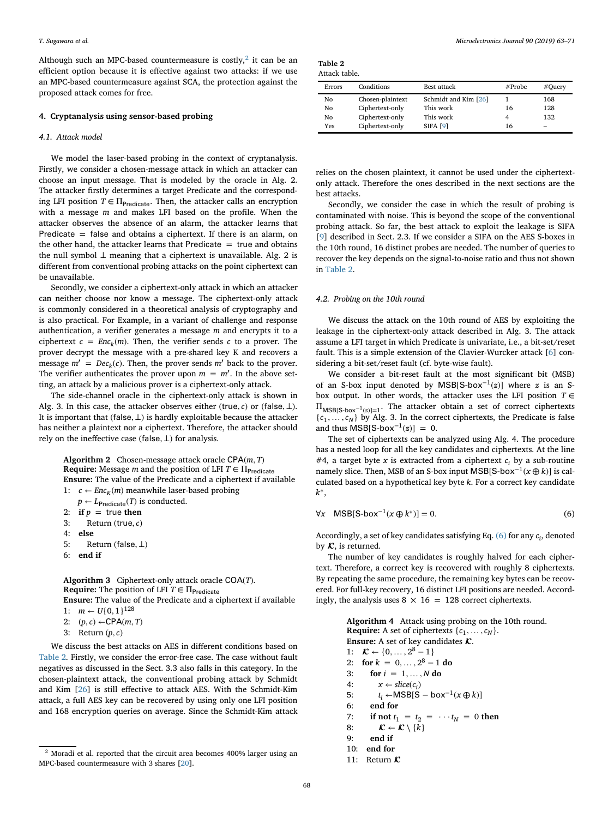Although such an MPC-based countermeasure is costly, $2$  it can be an efficient option because it is effective against two attacks: if we use an MPC-based countermeasure against SCA, the protection against the proposed attack comes for free.

#### **4. Cryptanalysis using sensor-based probing**

# *4.1. Attack model*

We model the laser-based probing in the context of cryptanalysis. Firstly, we consider a chosen-message attack in which an attacker can choose an input message. That is modeled by the oracle in Alg. 2. The attacker firstly determines a target Predicate and the corresponding LFI position  $T \in \Pi_{\text{Predictive}}$ . Then, the attacker calls an encryption with a message *m* and makes LFI based on the profile. When the attacker observes the absence of an alarm, the attacker learns that Predicate  $=$  false and obtains a ciphertext. If there is an alarm, on the other hand, the attacker learns that Predicate  $=$  true and obtains the null symbol *⊥* meaning that a ciphertext is unavailable. Alg. 2 is different from conventional probing attacks on the point ciphertext can be unavailable.

Secondly, we consider a ciphertext-only attack in which an attacker can neither choose nor know a message. The ciphertext-only attack is commonly considered in a theoretical analysis of cryptography and is also practical. For Example, in a variant of challenge and response authentication, a verifier generates a message *m* and encrypts it to a ciphertext  $c = Enc_k(m)$ . Then, the verifier sends *c* to a prover. The prover decrypt the message with a pre-shared key K and recovers a message  $m' = Dec_k(c)$ . Then, the prover sends  $m'$  back to the prover. The verifier authenticates the prover upon  $m = m'$ . In the above setting, an attack by a malicious prover is a ciphertext-only attack.

The side-channel oracle in the ciphertext-only attack is shown in Alg. 3. In this case, the attacker observes either (true, *c*) or (false,  $\perp$ ). It is important that (false*, ⊥*) is hardly exploitable because the attacker has neither a plaintext nor a ciphertext. Therefore, the attacker should rely on the ineffective case (false*, ⊥*) for analysis.

**Algorithm 2** Chosen-message attack oracle CPA(*m, T*) **Require:** Message *m* and the position of LFI  $T \in \Pi_{\text{Predict}}$ **Ensure:** The value of the Predicate and a ciphertext if available 1:  $c \leftarrow Enc_K(m)$  meanwhile laser-based probing

```
p \leftarrow L_{Predict}(T) is conducted.
```

```
2: if p = true then
```
- 3: Return (true*, c*)
- 4: **else**
- 5: Return (false*, ⊥*)
- 6: **end if**

**Algorithm 3** Ciphertext-only attack oracle COA(*T*). **Require:** The position of LFI  $T \in \Pi_{\text{Predicte}}$ 

**Ensure:** The value of the Predicate and a ciphertext if available 1:  $m \leftarrow U\{0, 1\}^{128}$ 

- 2:  $(p, c) \leftarrow \text{CPA}(m, T)$
- 3: Return (*p, c*)

We discuss the best attacks on AES in different conditions based on [Table 2.](#page-6-1) Firstly, we consider the error-free case. The case without fault negatives as discussed in the Sect. 3.3 also falls in this category. In the chosen-plaintext attack, the conventional probing attack by Schmidt and Kim [\[26\]](#page-9-11) is still effective to attack AES. With the Schmidt-Kim attack, a full AES key can be recovered by using only one LFI position and 168 encryption queries on average. Since the Schmidt-Kim attack

| Table 2 |               |
|---------|---------------|
|         | Attack table. |

<span id="page-6-1"></span>

| Errors | Conditions       | Best attack          | #Probe | #Query |
|--------|------------------|----------------------|--------|--------|
| No     | Chosen-plaintext | Schmidt and Kim [26] |        | 168    |
| No     | Ciphertext-only  | This work            | 16     | 128    |
| No     | Ciphertext-only  | This work            |        | 132    |
| Yes    | Ciphertext-only  | <b>SIFA [9]</b>      | 16     | -      |

relies on the chosen plaintext, it cannot be used under the ciphertextonly attack. Therefore the ones described in the next sections are the best attacks.

Secondly, we consider the case in which the result of probing is contaminated with noise. This is beyond the scope of the conventional probing attack. So far, the best attack to exploit the leakage is SIFA [\[9\]](#page-8-10) described in Sect. 2.3. If we consider a SIFA on the AES S-boxes in the 10th round, 16 distinct probes are needed. The number of queries to recover the key depends on the signal-to-noise ratio and thus not shown in [Table 2.](#page-6-1)

#### *4.2. Probing on the 10th round*

We discuss the attack on the 10th round of AES by exploiting the leakage in the ciphertext-only attack described in Alg. 3. The attack assume a LFI target in which Predicate is univariate, i.e., a bit-set/reset fault. This is a simple extension of the Clavier-Wurcker attack [\[6\]](#page-8-9) considering a bit-set/reset fault (cf. byte-wise fault).

We consider a bit-reset fault at the most significant bit (MSB) of an S-box input denoted by MSB[S-box−<sup>1</sup>(*z*)] where *z* is an Sbox output. In other words, the attacker uses the LFI position  $T \in$ ΠMSB[S-box−1(*z*)]=1. The attacker obtain a set of correct ciphertexts  ${c_1, \ldots, c_N}$  by Alg. 3. In the correct ciphertexts, the Predicate is false and thus MSB[S-bo $x^{-1}(z)$ ] = 0.

The set of ciphertexts can be analyzed using Alg. 4. The procedure has a nested loop for all the key candidates and ciphertexts. At the line  $#4$ , a target byte x is extracted from a ciphertext  $c_i$  by a sub-routine namely slice. Then, MSB of an S-box input MSB[S-box<sup>-1</sup>( $x \oplus k$ )] is calculated based on a hypothetical key byte *k*. For a correct key candidate *k*∗,

<span id="page-6-2"></span>
$$
\forall x \quad \text{MSB[S-box}^{-1}(x \oplus k^*)] = 0. \tag{6}
$$

Accordingly, a set of key candidates satisfying Eq. [\(6\)](#page-6-2) for any *ci*, denoted by  $K$ , is returned.

The number of key candidates is roughly halved for each ciphertext. Therefore, a correct key is recovered with roughly 8 ciphertexts. By repeating the same procedure, the remaining key bytes can be recovered. For full-key recovery, 16 distinct LFI positions are needed. Accordingly, the analysis uses  $8 \times 16 = 128$  correct ciphertexts.

> **Algorithm 4** Attack using probing on the 10th round. **Require:** A set of ciphertexts  $\{c_1, \ldots, c_N\}$ . **Ensure:** A set of key candidates  $K$ . 1:  $\mathcal{K} \leftarrow \{0, \ldots, 2^8 - 1\}$ 2: **for**  $k = 0, ..., 2^8 - 1$  **do** 3: **for**  $i = 1, ..., N$  **do** 4:  $x \leftarrow slice(c_i)$ 5:  $t_i \leftarrow \text{MSB}[S - box^{-1}(x \oplus k)]$ <br>6: **end for** 6: **end for** 7: **if not**  $t_1 = t_2 = \cdots t_N = 0$  **then** 8:  $\mathcal{K} \leftarrow \mathcal{K} \setminus \{k\}$ 9: **end if** 10: **end for** 11: Return  $\mathbf{r}$

<span id="page-6-0"></span><sup>2</sup> Moradi et al. reported that the circuit area becomes 400% larger using an MPC-based countermeasure with 3 shares [\[20\]](#page-9-15).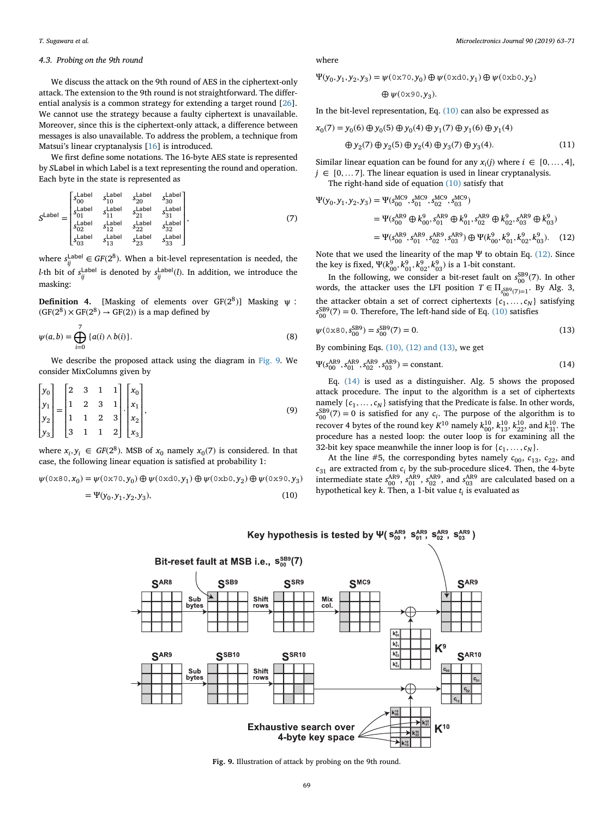# *4.3. Probing on the 9th round*

We discuss the attack on the 9th round of AES in the ciphertext-only attack. The extension to the 9th round is not straightforward. The differential analysis is a common strategy for extending a target round [\[26\]](#page-9-11). We cannot use the strategy because a faulty ciphertext is unavailable. Moreover, since this is the ciphertext-only attack, a difference between messages is also unavailable. To address the problem, a technique from Matsui's linear cryptanalysis [\[16\]](#page-9-17) is introduced.

We first define some notations. The 16-byte AES state is represented by *S*Label in which Label is a text representing the round and operation. Each byte in the state is represented as

$$
S^{\text{Label}} = \begin{bmatrix} s_{\text{table}}^{\text{Label}} & s_{\text{label}}^{\text{Label}} \\ s_{\text{00}}^{\text{Label}} & s_{\text{label}}^{\text{Label}} \\ s_{\text{01}}^{\text{Label}} & s_{\text{label}}^{\text{Label}} \\ s_{\text{02}}^{\text{Label}} & s_{\text{label}}^{\text{Label}} \\ s_{\text{03}}^{\text{Label}} & s_{\text{label}}^{\text{Label}} \\ s_{\text{03}}^{\text{Label}} & s_{\text{label}}^{\text{Label}} \\ s_{\text{13}}^{\text{Label}} & s_{\text{12}}^{\text{Label}} \\ s_{\text{13}}^{\text{Label}} & s_{\text{23}}^{\text{Label}} \end{bmatrix}, \tag{7}
$$

where  $s_{ij}^{\text{Label}} \in GF(2^8)$ . When a bit-level representation is needed, the *l*-th bit of  $s_{ij}^{\text{Label}}$  is denoted by  $s_{ij}^{\text{Label}}(l)$ . In addition, we introduce the masking:

**Definition 4.** [Masking of elements over  $GF(2^8)$ ] Masking  $\psi$ :  $(GF(2^8) \times GF(2^8) \rightarrow GF(2))$  is a map defined by

$$
\psi(a,b) = \bigoplus_{i=0}^{7} \{a(i) \wedge b(i)\}.
$$
\n(8)

We describe the proposed attack using the diagram in [Fig. 9.](#page-7-0) We consider MixColumns given by

$$
\begin{bmatrix} y_0 \\ y_1 \\ y_2 \\ y_3 \end{bmatrix} = \begin{bmatrix} 2 & 3 & 1 & 1 \\ 1 & 2 & 3 & 1 \\ 1 & 1 & 2 & 3 \\ 3 & 1 & 1 & 2 \end{bmatrix} \begin{bmatrix} x_0 \\ x_1 \\ x_2 \\ x_3 \end{bmatrix},
$$
\n(9)

where  $x_i, y_i \in GF(2^8)$ . MSB of  $x_0$  namely  $x_0(7)$  is considered. In that case, the following linear equation is satisfied at probability 1:

$$
\psi(\texttt{0x80},x_0) = \psi(\texttt{0x70},y_0) \oplus \psi(\texttt{0xd0},y_1) \oplus \psi(\texttt{0xb0},y_2) \oplus \psi(\texttt{0x90},y_3)
$$

$$
=\Psi(y_0, y_1, y_2, y_3),\tag{10}
$$

where

$$
\Psi(y_0, y_1, y_2, y_3) = \psi(\mathbf{0} \times \mathbf{70}, y_0) \oplus \psi(\mathbf{0} \times \mathbf{10}, y_1) \oplus \psi(\mathbf{0} \times \mathbf{50}, y_2)
$$

<span id="page-7-2"></span>
$$
\oplus \psi(\text{0x90},y_3).
$$

In the bit-level representation, Eq. [\(10\)](#page-7-1) can also be expressed as

$$
x_0(7) = y_0(6) \oplus y_0(5) \oplus y_0(4) \oplus y_1(7) \oplus y_1(6) \oplus y_1(4)
$$
  

$$
\oplus y_2(7) \oplus y_2(5) \oplus y_2(4) \oplus y_3(7) \oplus y_3(4).
$$
 (11)

Similar linear equation can be found for any  $x_i(j)$  where  $i \in [0, ..., 4]$ ,  $j \in [0, \ldots 7]$ . The linear equation is used in linear cryptanalysis.

The right-hand side of equation [\(10\)](#page-7-1) satisfy that

$$
\Psi(y_0, y_1, y_2, y_3) = \Psi(s_{00}^{\text{MC9}}, s_{01}^{\text{MC9}}, s_{02}^{\text{MC9}}, s_{03}^{\text{MC9}})
$$
  
\n
$$
= \Psi(s_{00}^{\text{AR9}} \oplus k_{00}^0, s_{01}^{\text{AR9}} \oplus k_{01}^0, s_{02}^{\text{AR9}} \oplus k_{02}^0, s_{03}^{\text{AR9}} \oplus k_{03}^0)
$$
  
\n
$$
= \Psi(s_{00}^{\text{AR9}}, s_{01}^{\text{AR9}}, s_{02}^{\text{AR9}}, s_{03}^{\text{AR9}}) \oplus \Psi(k_{00}^2, k_{01}^2, k_{02}^0, k_{03}^0).
$$
 (12)

Note that we used the linearity of the map  $\Psi$  to obtain Eq. [\(12\).](#page-7-2) Since the key is fixed,  $\Psi(k_{00}^9, k_{01}^9, k_{02}^9, k_{03}^9)$  is a 1-bit constant.

In the following, we consider a bit-reset fault on  $s_{00}^{\text{SB9}}(7)$ . In other words, the attacker uses the LFI position  $T \in \Pi_{\substack{SB^9(7)=1}}$ . By Alg. 3, the attacker obtain a set of correct ciphertexts  $\{c_1^{\vee}, \dots, c_N\}$  satisfying  $s_{00}^{\text{BB9}}(7) = 0$ . Therefore, The left-hand side of Eq. [\(10\)](#page-7-1) satisfies

$$
\psi(0 \times 80, s_{00}^{\text{SB9}}) = s_{00}^{\text{SB9}}(7) = 0. \tag{13}
$$

By combining Eqs. [\(10\), \(12\) and \(13\),](#page-7-1) we get

<span id="page-7-3"></span>
$$
\Psi(s_{00}^{\text{AR9}}, s_{01}^{\text{AR9}}, s_{02}^{\text{AR9}}, s_{03}^{\text{AR9}}) = \text{constant.}
$$
 (14)

Eq. [\(14\)](#page-7-3) is used as a distinguisher. Alg. 5 shows the proposed attack procedure. The input to the algorithm is a set of ciphertexts namely  $\{c_1, \ldots, c_N\}$  satisfying that the Predicate is false. In other words,  $s_{00}^{\text{SB9}}(7) = 0$  is satisfied for any *c<sub>i</sub>*. The purpose of the algorithm is to recover 4 bytes of the round key  $K^{10}$  namely  $k_{00}^{10}$ ,  $k_{13}^{10}$ ,  $k_{22}^{10}$ , and  $k_{31}^{10}$ . The procedure has a nested loop: the outer loop is for examining all the 32-bit key space meanwhile the inner loop is for  $\{c_1, \ldots, c_N\}$ .

<span id="page-7-1"></span>At the line #5, the corresponding bytes namely  $c_{00}$ ,  $c_{13}$ ,  $c_{22}$ , and  $c_{31}$  are extracted from  $c_i$  by the sub-procedure slice4. Then, the 4-byte intermediate state  $s_{00}^{\text{AR9}}$ ,  $s_{01}^{\text{AR9}}$ ,  $s_{02}^{\text{AR9}}$ , and  $s_{03}^{\text{AR9}}$  are calculated based on a hypothetical key *k*. Then, a 1-bit value *ti* is evaluated as



<span id="page-7-0"></span>**Fig. 9.** Illustration of attack by probing on the 9th round.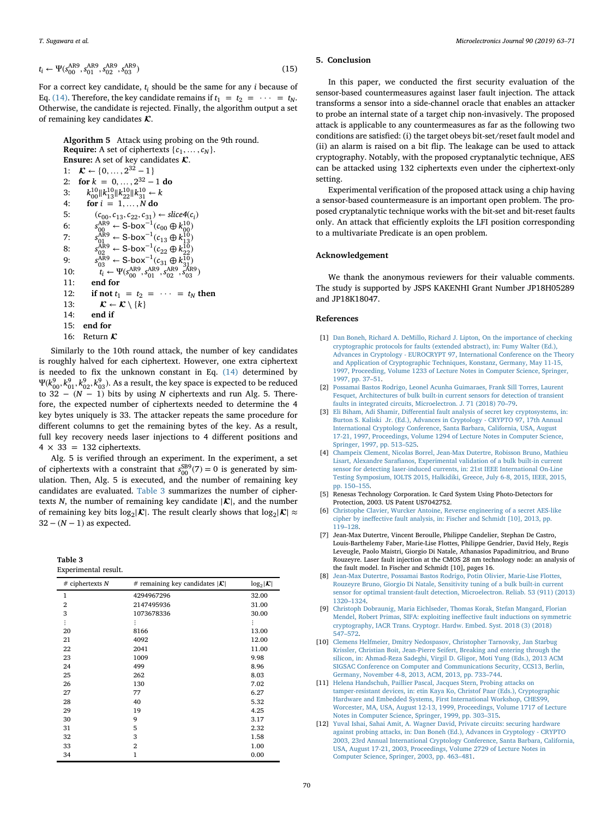$$
t_i \leftarrow \Psi(s_{00}^{\text{AR9}}, s_{01}^{\text{AR9}}, s_{02}^{\text{AR9}}, s_{03}^{\text{AR9}})
$$
\n
$$
\tag{15}
$$

For a correct key candidate, *ti* should be the same for any *i* because of Eq. [\(14\).](#page-7-3) Therefore, the key candidate remains if  $t_1 = t_2 = \cdots = t_N$ . Otherwise, the candidate is rejected. Finally, the algorithm output a set of remaining key candidates  $\mathcal{K}$ .

**Algorithm 5** Attack using probing on the 9th round. **Require:** A set of ciphertexts  $\{c_1, \ldots, c_N\}$ . **Ensure:** A set of key candidates  $K$ . 1:  $\mathcal{K} \leftarrow \{0, \ldots, 2^{32} - 1\}$ 2: **for**  $k = 0, ..., 2^{32} - 1$  **do** 3:  $k_{00}^{10} \| k_{13}^{10} \| k_{22}^{10} \| k_{31}^{10} \leftarrow k$ 4: **for**  $i = 1,...,N$  do 5:  $(c_{00}, c_{13}, c_{22}, c_{31}) \leftarrow slice4(c_i)$ <br>6:  $s_{00}^{AB} \leftarrow S-box^{-1}(c_{00} \oplus k_{00}^{10})$ 6:  $s_{00}^{\text{AR9}}$  ← S-box<sup>-1</sup>( $c_{00}$  ⊕  $k_{00}^{10}$ ) 7:  $s_{01}^{\text{AR9}}$  ← S-box<sup>-1</sup>( $c_{13}$  ⊕  $k_{13}^{\text{10}}$ ) 8:  $s_{02}^{\text{ÅR9}}$  ← S-box<sup>-1</sup>( $c_{22}$  ⊕  $k_{22}^{\text{I0}}$ ) 9:  $s_{03}^{\text{AR9}}$  ← S-box<sup>-1</sup>( $c_{31}$  ⊕  $k_{31}^{\overline{10}}$ ) 10:  $t_i \leftarrow \Psi(s_{00}^{\text{AR9}}, s_{01}^{\text{AR9}}, s_{02}^{\text{AR9}}, s_{03}^{\text{AR9}})$ 11: **end for** 12: **if not**  $t_1 = t_2 = \cdots = t_N$  **then** 13:  $\mathcal{K} \leftarrow \mathcal{K} \setminus \{k\}$ 14: **end if** 15: **end for** 16: Return  $\mathcal{K}$ 

Similarly to the 10th round attack, the number of key candidates is roughly halved for each ciphertext. However, one extra ciphertext is needed to fix the unknown constant in Eq. [\(14\)](#page-7-3) determined by  $Ψ(k<sub>00</sub><sup>8</sup>, k<sub>01</sub><sup>9</sup>, k<sub>02</sub><sup>9</sup>, k<sub>93</sub><sup>9</sup>).$  As a result, the key space is expected to be reduced to 32 − (*N* − 1) bits by using *N* ciphertexts and run Alg. 5. Therefore, the expected number of ciphertexts needed to determine the 4 key bytes uniquely is 33. The attacker repeats the same procedure for different columns to get the remaining bytes of the key. As a result, full key recovery needs laser injections to 4 different positions and  $4 \times 33 = 132$  ciphertexts.

Alg. 5 is verified through an experiment. In the experiment, a set of ciphertexts with a constraint that  $s_{00}^{SB9}(7) = 0$  is generated by sim-<br>ulation. Then, Alg. 5 is executed, and the number of remaining key candidates are evaluated. [Table 3](#page-8-12) summarizes the number of ciphertexts *N*, the number of remaining key candidate  $|\mathcal{K}|$ , and the number of remaining key bits  $log_2|\mathcal{K}|$ . The result clearly shows that  $log_2|\mathcal{K}| \approx$  $32 - (N - 1)$  as expected.

| Table 3              |  |
|----------------------|--|
| Experimental result. |  |

<span id="page-8-12"></span>

| $#$ ciphertexts N | # remaining key candidates $ \mathcal{K} $ | $log_2 \mathcal{K} $ |
|-------------------|--------------------------------------------|----------------------|
| 1                 | 4294967296                                 | 32.00                |
| $\overline{2}$    | 2147495936                                 | 31.00                |
| 3                 | 1073678336                                 | 30.00                |
| $\vdots$          | İ                                          | ፡                    |
| 20                | 8166                                       | 13.00                |
| 21                | 4092                                       | 12.00                |
| 22                | 2041                                       | 11.00                |
| 23                | 1009                                       | 9.98                 |
| 24                | 499                                        | 8.96                 |
| 25                | 262                                        | 8.03                 |
| 26                | 130                                        | 7.02                 |
| 27                | 77                                         | 6.27                 |
| 28                | 40                                         | 5.32                 |
| 29                | 19                                         | 4.25                 |
| 30                | 9                                          | 3.17                 |
| 31                | 5                                          | 2.32                 |
| 32                | 3                                          | 1.58                 |
| 33                | $\overline{2}$                             | 1.00                 |
| 34                | 1                                          | 0.00                 |
|                   |                                            |                      |

# **5. Conclusion**

In this paper, we conducted the first security evaluation of the sensor-based countermeasures against laser fault injection. The attack transforms a sensor into a side-channel oracle that enables an attacker to probe an internal state of a target chip non-invasively. The proposed attack is applicable to any countermeasures as far as the following two conditions are satisfied: (i) the target obeys bit-set/reset fault model and (ii) an alarm is raised on a bit flip. The leakage can be used to attack cryptography. Notably, with the proposed cryptanalytic technique, AES can be attacked using 132 ciphertexts even under the ciphertext-only setting.

Experimental verification of the proposed attack using a chip having a sensor-based countermeasure is an important open problem. The proposed cryptanalytic technique works with the bit-set and bit-reset faults only. An attack that efficiently exploits the LFI position corresponding to a multivariate Predicate is an open problem.

# **Acknowledgement**

We thank the anonymous reviewers for their valuable comments. The study is supported by JSPS KAKENHI Grant Number JP18H05289 and JP18K18047.

# **References**

- <span id="page-8-0"></span>[1] Dan Boneh, Richard A. DeMillo, Richard J. Lipton, On the importance of checking cryptographic protocols for faults (extended abstract), in: Fumy Walter (Ed.), [Advances in Cryptology - EUROCRYPT 97, International Conference on the Theory](http://refhub.elsevier.com/S0026-2692(18)30953-4/sref1) and Application of Cryptographic Techniques, Konstanz, Germany, May 11-15, 1997, Proceeding, Volume 1233 of Lecture Notes in Computer Science, Springer, 1997, pp. 37–51.
- <span id="page-8-4"></span>[2] Possamai Bastos Rodrigo, Leonel Acunha Guimaraes, Frank Sill Torres, Laurent [Fesquet, Architectures of bulk built-in current sensors for detection of transient](http://refhub.elsevier.com/S0026-2692(18)30953-4/sref2) faults in integrated circuits, Microelectron. J. 71 (2018) 70–79.
- <span id="page-8-2"></span>[3] [Eli Biham, Adi Shamir, Differential fault analysis of secret key cryptosystems, in:](http://refhub.elsevier.com/S0026-2692(18)30953-4/sref3) Burton S. Kaliski Jr. (Ed.), Advances in Cryptology - CRYPTO 97, 17th Annual International Cryptology Conference, Santa Barbara, California, USA, August 17-21, 1997, Proceedings, Volume 1294 of Lecture Notes in Computer Science, Springer, 1997, pp. 513–525.
- <span id="page-8-5"></span>[4] [Champeix Clement, Nicolas Borrel, Jean-Max Dutertre, Robisson Bruno, Mathieu](http://refhub.elsevier.com/S0026-2692(18)30953-4/sref4) Lisart, Alexandre Sarafianos, Experimental validation of a bulk built-in current sensor for detecting laser-induced currents, in: 21st IEEE International On-Line Testing Symposium, IOLTS 2015, Halkidiki, Greece, July 6-8, 2015, IEEE, 2015, pp. 150–155.
- <span id="page-8-3"></span>[5] Renesas Technology Corporation. Ic Card System Using Photo-Detectors for Protection, 2003. US Patent US7042752.
- <span id="page-8-9"></span>[6] [Christophe Clavier, Wurcker Antoine, Reverse engineering of a secret AES-like](http://refhub.elsevier.com/S0026-2692(18)30953-4/sref6) cipher by ineffective fault analysis, in: Fischer and Schmidt [10], 2013, pp. 119–128.
- <span id="page-8-1"></span>[7] Jean-Max Dutertre, Vincent Beroulle, Philippe Candelier, Stephan De Castro, Louis-Barthelemy Faber, Marie-Lise Flottes, Philippe Gendrier, David Hely, Regis Leveugle, Paolo Maistri, Giorgio Di Natale, Athanasios Papadimitriou, and Bruno Rouzeyre. Laser fault injection at the CMOS 28 nm technology node: an analysis of the fault model. In Fischer and Schmidt [10], pages 16.
- <span id="page-8-6"></span>[8] Jean-Max Dutertre, Possamai Bastos Rodrigo, Potin Olivier, Marie-Lise Flottes, Rouzeyre Bruno, Giorgio Di Natale, Sensitivity tuning of a bulk built-in current [sensor for optimal transient-fault detection, Microelectron. Reliab. 53 \(911\) \(2013\)](http://refhub.elsevier.com/S0026-2692(18)30953-4/sref8) 1320–1324.
- <span id="page-8-10"></span>[9] Christoph Dobraunig, Maria Eichlseder, Thomas Korak, Stefan Mangard, Florian [Mendel, Robert Primas, SIFA: exploiting ineffective fault inductions on symmetric](http://refhub.elsevier.com/S0026-2692(18)30953-4/sref9) cryptography, IACR Trans. Cryptogr. Hardw. Embed. Syst. 2018 (3) (2018) 547–572.
- <span id="page-8-7"></span>[10] Clemens Helfmeier, Dmitry Nedospasov, Christopher Tarnovsky, Jan Starbug Krissler, Christian Boit, Jean-Pierre Seifert, Breaking and entering through the silicon, in: Ahmad-Reza Sadeghi, Virgil D. Gligor, Moti Yung (Eds.), 2013 ACM [SIGSAC Conference on Computer and Communications Security, CCS13, Berlin,](http://refhub.elsevier.com/S0026-2692(18)30953-4/sref10) Germany, November 4-8, 2013, ACM, 2013, pp. 733–744.
- <span id="page-8-8"></span>[11] Helena Handschuh, Paillier Pascal, Jacques Stern, Probing attacks on tamper-resistant devices, in: etin Kaya Ko, Christof Paar (Eds.), Cryptographic Hardware and Embedded Systems, First International Workshop, CHES99, [Worcester, MA, USA, August 12-13, 1999, Proceedings, Volume 1717 of Lecture](http://refhub.elsevier.com/S0026-2692(18)30953-4/sref11) Notes in Computer Science, Springer, 1999, pp. 303–315.
- <span id="page-8-11"></span>[12] Yuval Ishai, Sahai Amit, A. Wagner David, Private circuits: securing hardware against probing attacks, in: Dan Boneh (Ed.), Advances in Cryptology - CRYPTO [2003, 23rd Annual International Cryptology Conference, Santa Barbara, California,](http://refhub.elsevier.com/S0026-2692(18)30953-4/sref12) USA, August 17-21, 2003, Proceedings, Volume 2729 of Lecture Notes in Computer Science, Springer, 2003, pp. 463–481.